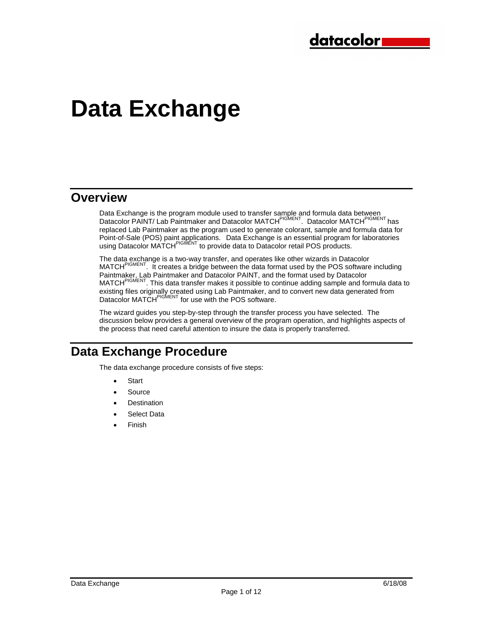# **Data Exchange**

## **Overview**

Data Exchange is the program module used to transfer sample and formula data between Datacolor PAINT/ Lab Paintmaker and Datacolor MATCH<sup>PIGMENT</sup>. Datacolor MATCH<sup>PIGMENT</sup> has replaced Lab Paintmaker as the program used to generate colorant, sample and formula data for Point-of-Sale (POS) paint applications. Data Exchange is an essential program for laboratories using Datacolor MATCH<sup>PIGMENT</sup> to provide data to Datacolor retail POS products.

The data exchange is a two-way transfer, and operates like other wizards in Datacolor MATCH<sup>PIGMENT</sup>. It creates a bridge between the data format used by the POS software including Paintmaker, Lab Paintmaker and Datacolor PAINT, and the format used by Datacolor MATCHPIGMENT. This data transfer makes it possible to continue adding sample and formula data to existing files originally created using Lab Paintmaker, and to convert new data generated from Datacolor MATCH<sup>PIGMENT</sup> for use with the POS software.

The wizard guides you step-by-step through the transfer process you have selected. The discussion below provides a general overview of the program operation, and highlights aspects of the process that need careful attention to insure the data is properly transferred.

# **Data Exchange Procedure**

The data exchange procedure consists of five steps:

- **Start**
- **Source**
- **Destination**
- Select Data
- Finish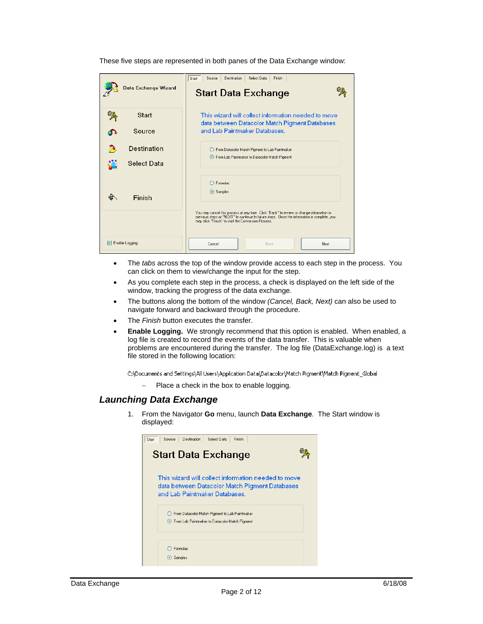|                         | Finish<br><b>Destination</b><br>Select Data<br>Start<br>Source                                                                                                                                                                                 |  |  |
|-------------------------|------------------------------------------------------------------------------------------------------------------------------------------------------------------------------------------------------------------------------------------------|--|--|
| Data Exchange Wizard    | <b>Start Data Exchange</b>                                                                                                                                                                                                                     |  |  |
| Start                   | This wizard will collect information needed to move<br>data between Datacolor Match Pigment Databases                                                                                                                                          |  |  |
| Source                  | and Lab Paintmaker Databases.                                                                                                                                                                                                                  |  |  |
| Destination             | ◯ From Datacolor Match Pigment to Lab Paintmaker<br>From Lab Paintmaker to Datacolor Match Pigment                                                                                                                                             |  |  |
| Select Data             |                                                                                                                                                                                                                                                |  |  |
| Finish                  | $\bigcirc$ Formulas<br>Samples                                                                                                                                                                                                                 |  |  |
|                         | You may cancel this process at any time. Click "Back" to review or change information in<br>previous steps or "NEXT" to continue to future steps. Once the information is complete, you<br>may click "Finish" to start the Conversion Process. |  |  |
| $\nabla$ Enable Logging | Next<br>Cancel<br>Back                                                                                                                                                                                                                         |  |  |

These five steps are represented in both panes of the Data Exchange window:

- The *tabs* across the top of the window provide access to each step in the process. You can click on them to view/change the input for the step.
- As you complete each step in the process, a check is displayed on the left side of the window, tracking the progress of the data exchange.
- The buttons along the bottom of the window *(Cancel, Back, Next)* can also be used to navigate forward and backward through the procedure.
- The *Finish* button executes the transfer.
- **Enable Logging.** We strongly recommend that this option is enabled. When enabled, a log file is created to record the events of the data transfer. This is valuable when problems are encountered during the transfer. The log file (DataExchange.log) is a text file stored in the following location:

C:\Documents and Settings\All Users\Application Data\Datacolor\Match Pigment\Match Pigment\_Global

− Place a check in the box to enable logging.

### *Launching Data Exchange*

1. From the Navigator **Go** menu, launch **Data Exchange**. The Start window is displayed:

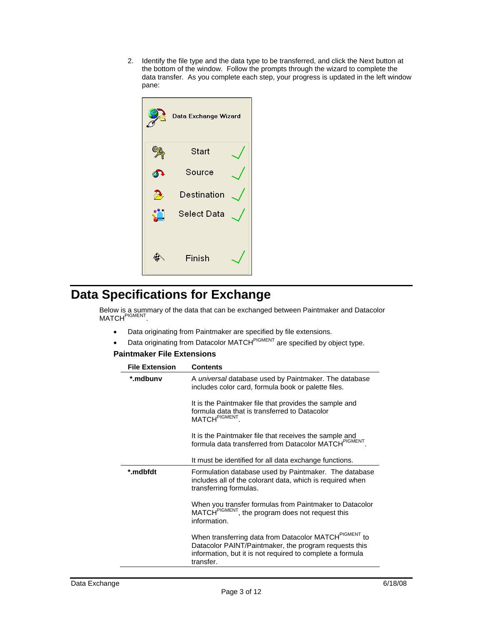2. Identify the file type and the data type to be transferred, and click the Next button at the bottom of the window. Follow the prompts through the wizard to complete the data transfer. As you complete each step, your progress is updated in the left window pane:



# **Data Specifications for Exchange**

Below is a summary of the data that can be exchanged between Paintmaker and Datacolor MATCH<sup>PIGMENT</sup>.

- Data originating from Paintmaker are specified by file extensions.
- Data originating from Datacolor MATCH<sup>PIGMENT</sup> are specified by object type.

### **Paintmaker File Extensions**

| <b>File Extension</b> | Contents                                                                                                                                                                                             |
|-----------------------|------------------------------------------------------------------------------------------------------------------------------------------------------------------------------------------------------|
| *.mdbunv              | A <i>universal</i> database used by Paintmaker. The database<br>includes color card, formula book or palette files.                                                                                  |
|                       | It is the Paintmaker file that provides the sample and<br>formula data that is transferred to Datacolor<br>MATCH <sup>PIGMENT</sup>                                                                  |
|                       | It is the Paintmaker file that receives the sample and<br>formula data transferred from Datacolor MATCHPIGMENT                                                                                       |
|                       | It must be identified for all data exchange functions.                                                                                                                                               |
| *.mdbfdt              | Formulation database used by Paintmaker. The database<br>includes all of the colorant data, which is required when<br>transferring formulas.                                                         |
|                       | When you transfer formulas from Paintmaker to Datacolor<br>MATCH <sup>PIGMENT</sup> , the program does not request this<br>information.                                                              |
|                       | When transferring data from Datacolor MATCH <sup>PIGMENT</sup> to<br>Datacolor PAINT/Paintmaker, the program requests this<br>information, but it is not required to complete a formula<br>transfer. |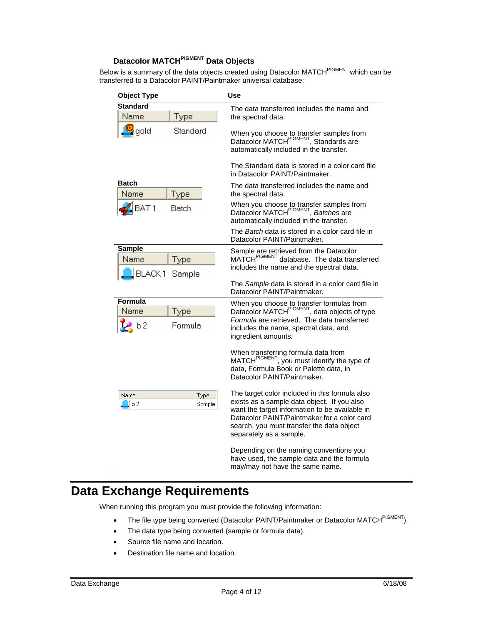### **Datacolor MATCHPIGMENT Data Objects**

Below is a summary of the data objects created using Datacolor MATCH<sup>PIGMENT</sup> which can be transferred to a Datacolor PAINT/Paintmaker universal database:

| <b>Object Type</b>                                       | Use                                                                                                                                                                                                                                                                    |
|----------------------------------------------------------|------------------------------------------------------------------------------------------------------------------------------------------------------------------------------------------------------------------------------------------------------------------------|
| <b>Standard</b><br>Type<br>Name                          | The data transferred includes the name and<br>the spectral data.                                                                                                                                                                                                       |
| Standard<br>gold                                         | When you choose to transfer samples from<br>Datacolor MATCH <sup>PIGMENT</sup> , Standards are<br>automatically included in the transfer.                                                                                                                              |
|                                                          | The Standard data is stored in a color card file<br>in Datacolor PAINT/Paintmaker.                                                                                                                                                                                     |
| <b>Batch</b><br>Name<br>Type                             | The data transferred includes the name and<br>the spectral data.                                                                                                                                                                                                       |
| BAT <sub>1</sub><br>Batch                                | When you choose to transfer samples from<br>Datacolor MATCH <sup>PIGMENT</sup> , <i>Batches</i> are<br>automatically included in the transfer.                                                                                                                         |
|                                                          | The <i>Batch</i> data is stored in a color card file in<br>Datacolor PAINT/Paintmaker.                                                                                                                                                                                 |
| <b>Sample</b><br>Name<br>Type<br><b>BLACK1</b><br>Sample | Sample are retrieved from the Datacolor<br>MATCH <sup>PIGMENT</sup> database. The data transferred<br>includes the name and the spectral data.                                                                                                                         |
|                                                          | The Sample data is stored in a color card file in<br>Datacolor PAINT/Paintmaker.                                                                                                                                                                                       |
| Formula<br>Name<br>Type<br>b 2<br>Formula                | When you choose to transfer formulas from<br>Datacolor MATCH <sup>PIGMENT</sup> , data objects of type<br>Formula are retrieved. The data transferred<br>includes the name, spectral data, and<br>ingredient amounts.                                                  |
|                                                          | When transferring formula data from<br>MATCH <sup>PIGMENT</sup> , you must identify the type of<br>data. Formula Book or Palette data. in<br>Datacolor PAINT/Paintmaker.                                                                                               |
| Type<br>Name<br>b2<br>Sample                             | The target color included in this formula also<br>exists as a sample data object. If you also<br>want the target information to be available in<br>Datacolor PAINT/Paintmaker for a color card<br>search, you must transfer the data object<br>separately as a sample. |
|                                                          | Depending on the naming conventions you<br>have used, the sample data and the formula<br>may/may not have the same name.                                                                                                                                               |

# **Data Exchange Requirements**

When running this program you must provide the following information:

- The file type being converted (Datacolor PAINT/Paintmaker or Datacolor MATCH<sup>PIGMENT</sup>).
- The data type being converted (sample or formula data).
- Source file name and location.
- Destination file name and location.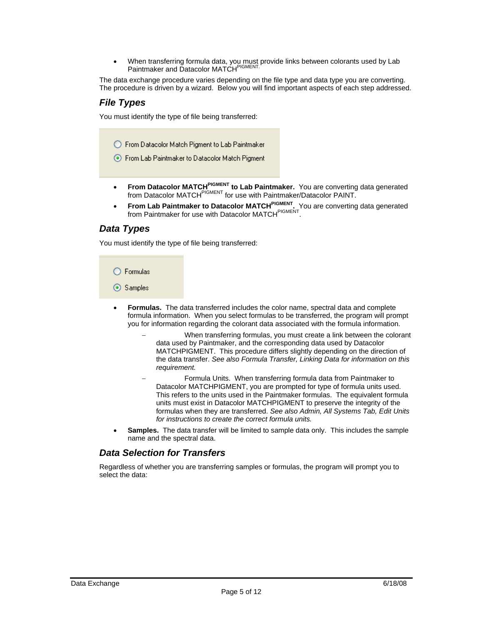• When transferring formula data, you must provide links between colorants used by Lab Paintmaker and Datacolor MATCHPIGMENT.

The data exchange procedure varies depending on the file type and data type you are converting. The procedure is driven by a wizard. Below you will find important aspects of each step addressed.

### *File Types*

You must identify the type of file being transferred:

◯ From Datacolor Match Pigment to Lab Paintmaker

- ◯ From Lab Paintmaker to Datacolor Match Pigment
- **From Datacolor MATCH<sup>PIGMENT</sup> to Lab Paintmaker.** You are converting data generated from Datacolor MATCH<sup>PIGMENT</sup> for use with Paintmaker/Datacolor PAINT.
- **From Lab Paintmaker to Datacolor MATCHPIGMENT.** You are converting data generated from Paintmaker for use with Datacolor MATCH<sup>PIGMENT</sup>.

### *Data Types*

You must identify the type of file being transferred:

 $\bigcirc$  Formulas

⊙ Samples

- **Formulas.** The data transferred includes the color name, spectral data and complete formula information. When you select formulas to be transferred, the program will prompt you for information regarding the colorant data associated with the formula information.
	- When transferring formulas, you must create a link between the colorant data used by Paintmaker, and the corresponding data used by Datacolor MATCHPIGMENT. This procedure differs slightly depending on the direction of the data transfer. *See also Formula Transfer, Linking Data for information on this requirement.*
	- Formula Units. When transferring formula data from Paintmaker to Datacolor MATCHPIGMENT, you are prompted for type of formula units used. This refers to the units used in the Paintmaker formulas. The equivalent formula units must exist in Datacolor MATCHPIGMENT to preserve the integrity of the formulas when they are transferred. *See also Admin, All Systems Tab, Edit Units for instructions to create the correct formula units.*
- **Samples.** The data transfer will be limited to sample data only. This includes the sample name and the spectral data.

### *Data Selection for Transfers*

Regardless of whether you are transferring samples or formulas, the program will prompt you to select the data: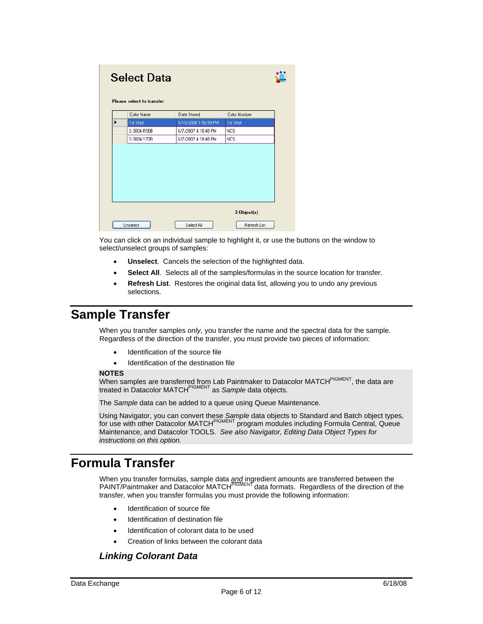| <b>Select Data</b><br>Please select to transfer |             |                      |              |
|-------------------------------------------------|-------------|----------------------|--------------|
|                                                 | Color Name  | Date Stored          | Color Number |
| ▶                                               | 1st Shot    | 5/19/2008 1:56:59 PM | 1st Shot     |
|                                                 | S 0804-R90B | 6/7/2007 4:18:40 PM  | <b>NCS</b>   |
|                                                 | S 0804-Y70R | 6/7/2007 4:18:40 PM  | <b>NCS</b>   |
|                                                 |             |                      |              |
|                                                 |             |                      |              |
|                                                 |             |                      | 3 Object(s)  |

You can click on an individual sample to highlight it, or use the buttons on the window to select/unselect groups of samples:

- **Unselect**. Cancels the selection of the highlighted data.
- Select All. Selects all of the samples/formulas in the source location for transfer.
- **Refresh List**. Restores the original data list, allowing you to undo any previous selections.

# **Sample Transfer**

When you transfer samples *only*, you transfer the name and the spectral data for the sample. Regardless of the direction of the transfer, you must provide two pieces of information:

- Identification of the source file
- Identification of the destination file

#### **NOTES**

When samples are transferred from Lab Paintmaker to Datacolor MATCH<sup>PIGMENT</sup>, the data are treated in Datacolor MATCHPIGMENT as *Sample* data objects.

The *Sample* data can be added to a queue using Queue Maintenance.

Using Navigator, you can convert these *Sample* data objects to Standard and Batch object types, for use with other Datacolor MATCH<sup>PIGMENT</sup> program modules including Formula Central, Queue Maintenance, and Datacolor TOOLS. *See also Navigator, Editing Data Object Types for instructions on this option.* 

# **Formula Transfer**

When you transfer formulas, sample data *and* ingredient amounts are transferred between the PAINT/Paintmaker and Datacolor MATCH<sup>PIGMENT</sup> data formats. Regardless of the direction of the transfer, when you transfer formulas you must provide the following information:

- Identification of source file
- Identification of destination file
- Identification of colorant data to be used
- Creation of links between the colorant data

### *Linking Colorant Data*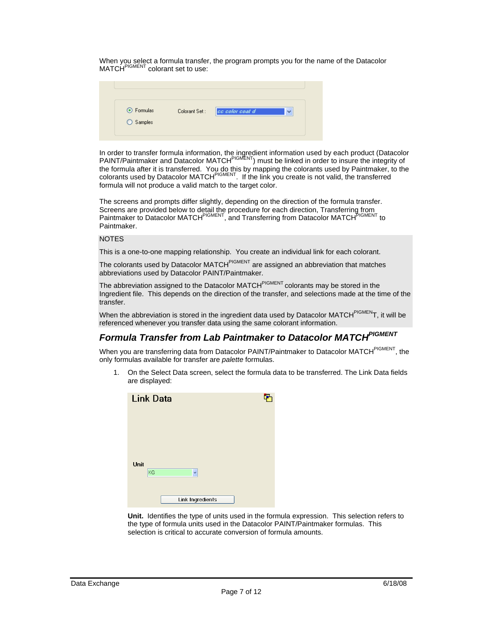When you select a formula transfer, the program prompts you for the name of the Datacolor MATCH<sup>PIGMENT</sup> colorant set to use:

| ⊙ Formulas | Colorant Set: | $\checkmark$<br>cc color coat d |
|------------|---------------|---------------------------------|
| ◯ Samples  |               |                                 |

In order to transfer formula information, the ingredient information used by each product (Datacolor PAINT/Paintmaker and Datacolor MATCH<sup>PIGMENT</sup>) must be linked in order to insure the integrity of the formula after it is transferred. You do this by mapping the colorants used by Paintmaker, to the colorants used by Datacolor MATCH<sup>PIGMENT</sup>. If the link you create is not valid, the transferred formula will not produce a valid match to the target color.

The screens and prompts differ slightly, depending on the direction of the formula transfer. Screens are provided below to detail the procedure for each direction, Transferring from Paintmaker to Datacolor MATCH<sup>PIGMENT</sup>, and Transferring from Datacolor MATCH<sup>PIGMENT</sup> to Paintmaker.

### NOTES

This is a one-to-one mapping relationship. You create an individual link for each colorant.

The colorants used by Datacolor MATCH<sup>PIGMENT</sup> are assigned an abbreviation that matches abbreviations used by Datacolor PAINT/Paintmaker.

The abbreviation assigned to the Datacolor MATCH<sup>PIGMENT</sup> colorants may be stored in the Ingredient file. This depends on the direction of the transfer, and selections made at the time of the transfer.

When the abbreviation is stored in the ingredient data used by Datacolor MATCH<sup>PIGMEN</sup>T, it will be referenced whenever you transfer data using the same colorant information.

# *Formula Transfer from Lab Paintmaker to Datacolor MATCHPIGMENT*

When you are transferring data from Datacolor PAINT/Paintmaker to Datacolor MATCH<sup>PIGMENT</sup>, the only formulas available for transfer are *palette* formulas.

1. On the Select Data screen, select the formula data to be transferred. The Link Data fields are displayed:

| <b>Link Data</b> |  |
|------------------|--|
|                  |  |
|                  |  |
|                  |  |
| Unit<br>KG<br>Ÿ  |  |
|                  |  |
| Link Ingredients |  |

**Unit.** Identifies the type of units used in the formula expression. This selection refers to the type of formula units used in the Datacolor PAINT/Paintmaker formulas. This selection is critical to accurate conversion of formula amounts.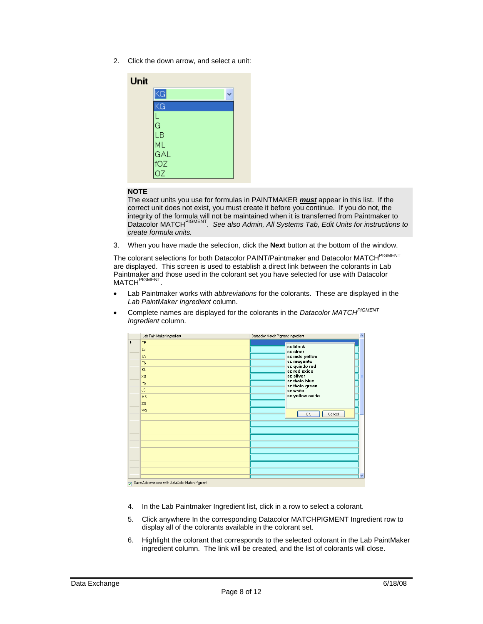2. Click the down arrow, and select a unit:

| Unit |                             |  |
|------|-----------------------------|--|
|      | KG                          |  |
|      | ΚG                          |  |
|      |                             |  |
|      | L<br>G<br>LB                |  |
|      |                             |  |
|      | ML<br>ML<br>GAL<br>OZ<br>OZ |  |
|      |                             |  |
|      |                             |  |

### **NOTE**

The exact units you use for formulas in PAINTMAKER *must* appear in this list. If the correct unit does not exist, you must create it before you continue. If you do not, the integrity of the formula will not be maintained when it is transferred from Paintmaker to Datacolor MATCHPIGMENT. *See also Admin, All Systems Tab, Edit Units for instructions to create formula units.* 

3. When you have made the selection, click the **Next** button at the bottom of the window.

The colorant selections for both Datacolor PAINT/Paintmaker and Datacolor MATCH<sup>PIGMENT</sup> are displayed. This screen is used to establish a direct link between the colorants in Lab Paintmaker and those used in the colorant set you have selected for use with Datacolor MATCH<sup>PIGMENT</sup>.

- Lab Paintmaker works with *abbreviations* for the colorants. These are displayed in the *Lab PaintMaker Ingredient* column.
- Complete names are displayed for the colorants in the *Datacolor MATCHPIGMENT Ingredient* column.

| Lab PaintMaker Ingredient                               | Datacolor Match Pigment Ingredient<br>$\blacktriangle$                                                                                |
|---------------------------------------------------------|---------------------------------------------------------------------------------------------------------------------------------------|
| <b>TR</b><br>LS.<br>QS<br>TS.<br>KU<br><b>XS</b><br>YS. | sc black<br>sc clear<br>sc indo yellow<br>sc magenta<br>sc quindo red<br>sc red oxide<br>sc silver<br>sc thalo blue<br>sc thalo green |
| <b>JS</b><br><b>MS</b><br>ZS<br>WS.                     | sc white<br>sc yellow oxide<br>Cancel<br>0K                                                                                           |
|                                                         | $\checkmark$                                                                                                                          |

Save Abbreviations with DataColor Match Pigment

- 4. In the Lab Paintmaker Ingredient list, click in a row to select a colorant.
- 5. Click anywhere In the corresponding Datacolor MATCHPIGMENT Ingredient row to display all of the colorants available in the colorant set.
- 6. Highlight the colorant that corresponds to the selected colorant in the Lab PaintMaker ingredient column. The link will be created, and the list of colorants will close.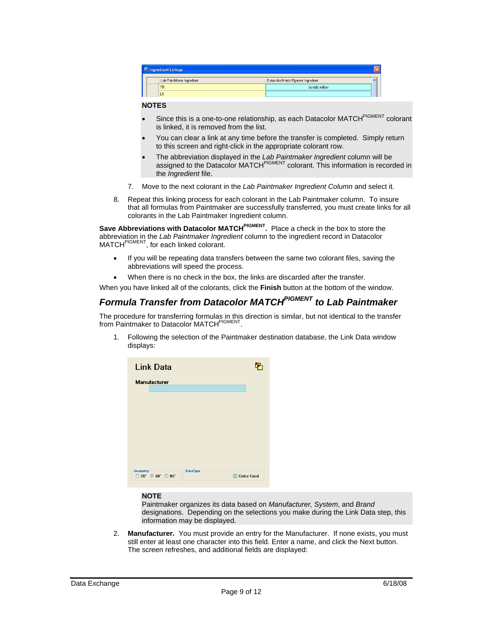| <b>E</b> Ingredient Linkup |                                    |  |
|----------------------------|------------------------------------|--|
| Lab PaintMaker Ingredient  | Datacolor Match Pigment Ingredient |  |
| <b>TR</b>                  | sc indo yellow                     |  |
| LS                         |                                    |  |

### **NOTES**

- Since this is a one-to-one relationship, as each Datacolor MATCH<sup>PIGMENT</sup> colorant is linked, it is removed from the list.
- You can clear a link at any time before the transfer is completed. Simply return to this screen and right-click in the appropriate colorant row.
- The abbreviation displayed in the *Lab Paintmaker Ingredient* column will be assigned to the Datacolor MATCH<sup>PIGMENT</sup> colorant. This information is recorded in the *Ingredient* file.
- 7. Move to the next colorant in the *Lab Paintmaker Ingredient Column* and select it.
- 8. Repeat this linking process for each colorant in the Lab Paintmaker column. To insure that all formulas from Paintmaker are successfully transferred, you must create links for all colorants in the Lab Paintmaker Ingredient column.

**Save Abbreviations with Datacolor MATCHPIGMENT.** Place a check in the box to store the abbreviation in the *Lab Paintmaker Ingredient* column to the ingredient record in Datacolor MATCH<sup>PIGMENT</sup>, for each linked colorant.

- If you will be repeating data transfers between the same two colorant files, saving the abbreviations will speed the process.
- When there is no check in the box, the links are discarded after the transfer.

When you have linked all of the colorants, click the **Finish** button at the bottom of the window.

### *Formula Transfer from Datacolor MATCHPIGMENT to Lab Paintmaker*

The procedure for transferring formulas in this direction is similar, but not identical to the transfer from Paintmaker to Datacolor MATCH<sup>PIGMENT</sup>.

1. Following the selection of the Paintmaker destination database, the Link Data window displays:

| <b>Link Data</b>                                                                 |                     |
|----------------------------------------------------------------------------------|---------------------|
| <b>Manufacturer</b>                                                              |                     |
|                                                                                  |                     |
|                                                                                  |                     |
|                                                                                  |                     |
|                                                                                  |                     |
| <b>DataType</b><br><b>Geometry</b>                                               |                     |
| $\bigcirc$ 20 <sup>*</sup> $\bigcirc$ 60 <sup>*</sup> $\bigcirc$ 85 <sup>*</sup> | <b>▽ Color Card</b> |

#### **NOTE**

Paintmaker organizes its data based on *Manufacturer, System*, and *Brand* designations. Depending on the selections you make during the Link Data step, this information may be displayed.

2. **Manufacturer.** You must provide an entry for the Manufacturer. If none exists, you must still enter at least one character into this field. Enter a name, and click the Next button. The screen refreshes, and additional fields are displayed: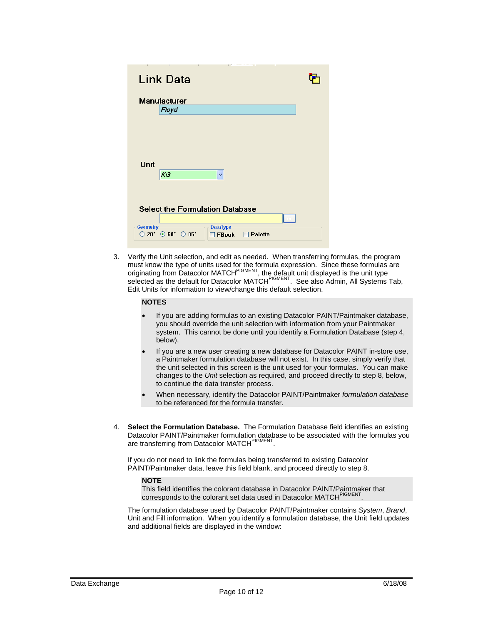| <b>Contract Contract</b><br>$\sim$<br><b>Link Data</b>                                               |  |
|------------------------------------------------------------------------------------------------------|--|
| <b>Manufacturer</b><br>Floyd                                                                         |  |
|                                                                                                      |  |
| Unit                                                                                                 |  |
| $K$ G<br>v                                                                                           |  |
| <b>Select the Formulation Database</b>                                                               |  |
| <b>DataType</b><br><b>Geometry</b><br>$\circ$ 50. $\circ$ 60. $\circ$ 82.<br>Palette<br><b>FBook</b> |  |

3. Verify the Unit selection, and edit as needed. When transferring formulas, the program must know the type of units used for the formula expression. Since these formulas are originating from Datacolor MATCH<sup>PIGMENT</sup>, the default unit displayed is the unit type selected as the default for Datacolor MATCH<sup>PIGMENT</sup>. See also Admin, All Systems Tab, Edit Units for information to view/change this default selection.

#### **NOTES**

- If you are adding formulas to an existing Datacolor PAINT/Paintmaker database, you should override the unit selection with information from your Paintmaker system. This cannot be done until you identify a Formulation Database (step 4, below).
- If you are a new user creating a new database for Datacolor PAINT in-store use, a Paintmaker formulation database will not exist. In this case, simply verify that the unit selected in this screen is the unit used for your formulas. You can make changes to the *Unit* selection as required, and proceed directly to step 8, below, to continue the data transfer process.
- When necessary, identify the Datacolor PAINT/Paintmaker *formulation database* to be referenced for the formula transfer.
- 4. **Select the Formulation Database.** The Formulation Database field identifies an existing Datacolor PAINT/Paintmaker formulation database to be associated with the formulas you are transferring from Datacolor MATCH<sup>PIGMENT</sup>

If you do not need to link the formulas being transferred to existing Datacolor PAINT/Paintmaker data, leave this field blank, and proceed directly to step 8.

#### **NOTE**

This field identifies the colorant database in Datacolor PAINT/Paintmaker that corresponds to the colorant set data used in Datacolor MATCHPIGMEN

The formulation database used by Datacolor PAINT/Paintmaker contains *System*, *Brand*, Unit and Fill information. When you identify a formulation database, the Unit field updates and additional fields are displayed in the window: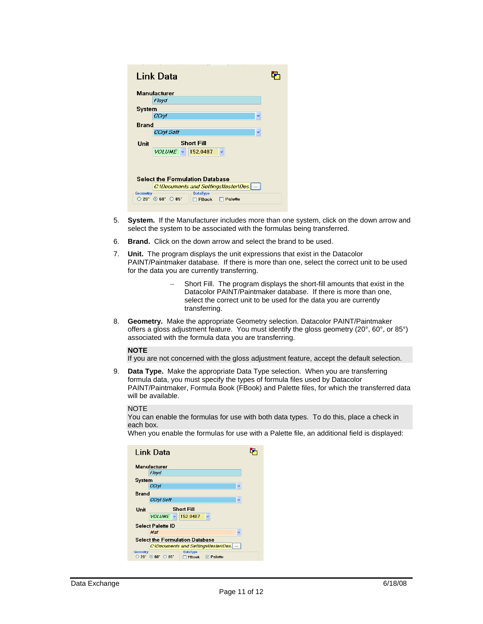|                 | n i<br>t r<br>- 1<br>Link Data                                                                                            |  |
|-----------------|---------------------------------------------------------------------------------------------------------------------------|--|
|                 | Manufacturer                                                                                                              |  |
|                 | Floyd                                                                                                                     |  |
| System          |                                                                                                                           |  |
|                 | CCryl<br>$\checkmark$                                                                                                     |  |
| Brand           |                                                                                                                           |  |
|                 | CCryl Soft<br>$\checkmark$                                                                                                |  |
| Unit            | <b>Short Fill</b>                                                                                                         |  |
|                 | $VOLUME \sim 152.0487$<br>$\checkmark$                                                                                    |  |
|                 |                                                                                                                           |  |
|                 |                                                                                                                           |  |
|                 | <b>Select the Formulation Database</b>                                                                                    |  |
|                 | C:\Documents and Settings\tester\Des.                                                                                     |  |
| <b>Geometry</b> | <b>DataType</b>                                                                                                           |  |
|                 | $20^{\circ}$ $\odot$ 60 <sup><math>\circ</math></sup> $\odot$ 85 <sup><math>\circ</math></sup><br>Palette<br><b>FBook</b> |  |

- 5. **System.** If the Manufacturer includes more than one system, click on the down arrow and select the system to be associated with the formulas being transferred.
- 6. **Brand.** Click on the down arrow and select the brand to be used.
- 7. **Unit.** The program displays the unit expressions that exist in the Datacolor PAINT/Paintmaker database. If there is more than one, select the correct unit to be used for the data you are currently transferring.
	- Short Fill. The program displays the short-fill amounts that exist in the Datacolor PAINT/Paintmaker database. If there is more than one, select the correct unit to be used for the data you are currently transferring.
- 8. **Geometry.** Make the appropriate Geometry selection. Datacolor PAINT/Paintmaker offers a gloss adjustment feature. You must identify the gloss geometry (20°, 60°, or 85°) associated with the formula data you are transferring.

#### **NOTE**

If you are not concerned with the gloss adjustment feature, accept the default selection.

9. **Data Type.** Make the appropriate Data Type selection. When you are transferring formula data, you must specify the types of formula files used by Datacolor PAINT/Paintmaker, Formula Book (FBook) and Palette files, for which the transferred data will be available.

#### **NOTE**

You can enable the formulas for use with both data types. To do this, place a check in each box.

When you enable the formulas for use with a Palette file, an additional field is displayed:

|                                       | Link Data                                                                    |  |  |  |
|---------------------------------------|------------------------------------------------------------------------------|--|--|--|
|                                       | <b>Manufacturer</b>                                                          |  |  |  |
|                                       | Floyd                                                                        |  |  |  |
| System                                |                                                                              |  |  |  |
|                                       | CCryl<br>٧                                                                   |  |  |  |
| <b>Brand</b>                          |                                                                              |  |  |  |
|                                       | <b>CCryl Soft</b><br>v                                                       |  |  |  |
| Unit                                  | <b>Short Fill</b>                                                            |  |  |  |
|                                       | $VOLUME \sim 152.0487$<br>v                                                  |  |  |  |
|                                       | <b>Select Palette ID</b>                                                     |  |  |  |
|                                       | Mat<br>v                                                                     |  |  |  |
|                                       | <b>Select the Formulation Database</b>                                       |  |  |  |
| C:\Documents and Settings\tester\Des. |                                                                              |  |  |  |
| <b>Geometry</b>                       | <b>DataType</b>                                                              |  |  |  |
| $20^{\circ}$                          | $\odot$ 60 $\ddot{}$<br>$O$ $95^{\circ}$<br>$\nabla$ Palette<br><b>FBook</b> |  |  |  |